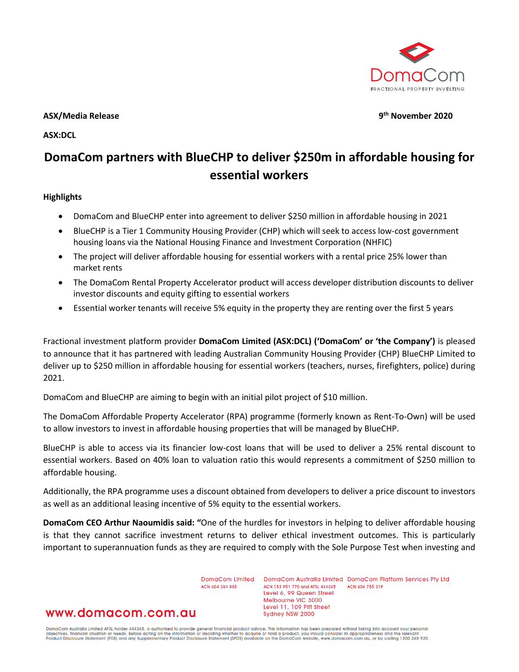

**ASX/Media Release 9th November 2020**

**ASX:DCL**

# **DomaCom partners with BlueCHP to deliver \$250m in affordable housing for essential workers**

#### **Highlights**

- DomaCom and BlueCHP enter into agreement to deliver \$250 million in affordable housing in 2021
- BlueCHP is a Tier 1 Community Housing Provider (CHP) which will seek to access low-cost government housing loans via the National Housing Finance and Investment Corporation (NHFIC)
- The project will deliver affordable housing for essential workers with a rental price 25% lower than market rents
- The DomaCom Rental Property Accelerator product will access developer distribution discounts to deliver investor discounts and equity gifting to essential workers
- Essential worker tenants will receive 5% equity in the property they are renting over the first 5 years

Fractional investment platform provider **DomaCom Limited (ASX:DCL) ('DomaCom' or 'the Company')** is pleased to announce that it has partnered with leading Australian Community Housing Provider (CHP) BlueCHP Limited to deliver up to \$250 million in affordable housing for essential workers (teachers, nurses, firefighters, police) during 2021.

DomaCom and BlueCHP are aiming to begin with an initial pilot project of \$10 million.

The DomaCom Affordable Property Accelerator (RPA) programme (formerly known as Rent-To-Own) will be used to allow investors to invest in affordable housing properties that will be managed by BlueCHP.

BlueCHP is able to access via its financier low-cost loans that will be used to deliver a 25% rental discount to essential workers. Based on 40% loan to valuation ratio this would represents a commitment of \$250 million to affordable housing.

Additionally, the RPA programme uses a discount obtained from developers to deliver a price discount to investors as well as an additional leasing incentive of 5% equity to the essential workers.

**DomaCom CEO Arthur Naoumidis said: "**One of the hurdles for investors in helping to deliver affordable housing is that they cannot sacrifice investment returns to deliver ethical investment outcomes. This is particularly important to superannuation funds as they are required to comply with the Sole Purpose Test when investing and

> DomgCom Limited ACN 604 384 885

DomaCom Australia Limited DomaCom Platform Services Pty Ltd ACN 153 951 770 and AFSL 444365 ACN 606 755 319 Level 6, 99 Queen Street Melbourne VIC 3000 Level 11, 109 Pitt Street Sydney NSW 2000

# www.domacom.com.au

DomaCom Australia Limited AFSL holder 444365, is authorised to provide general financial product advice. This information has been prepared without taking into account your personal<br>objectives, financial situation or needs